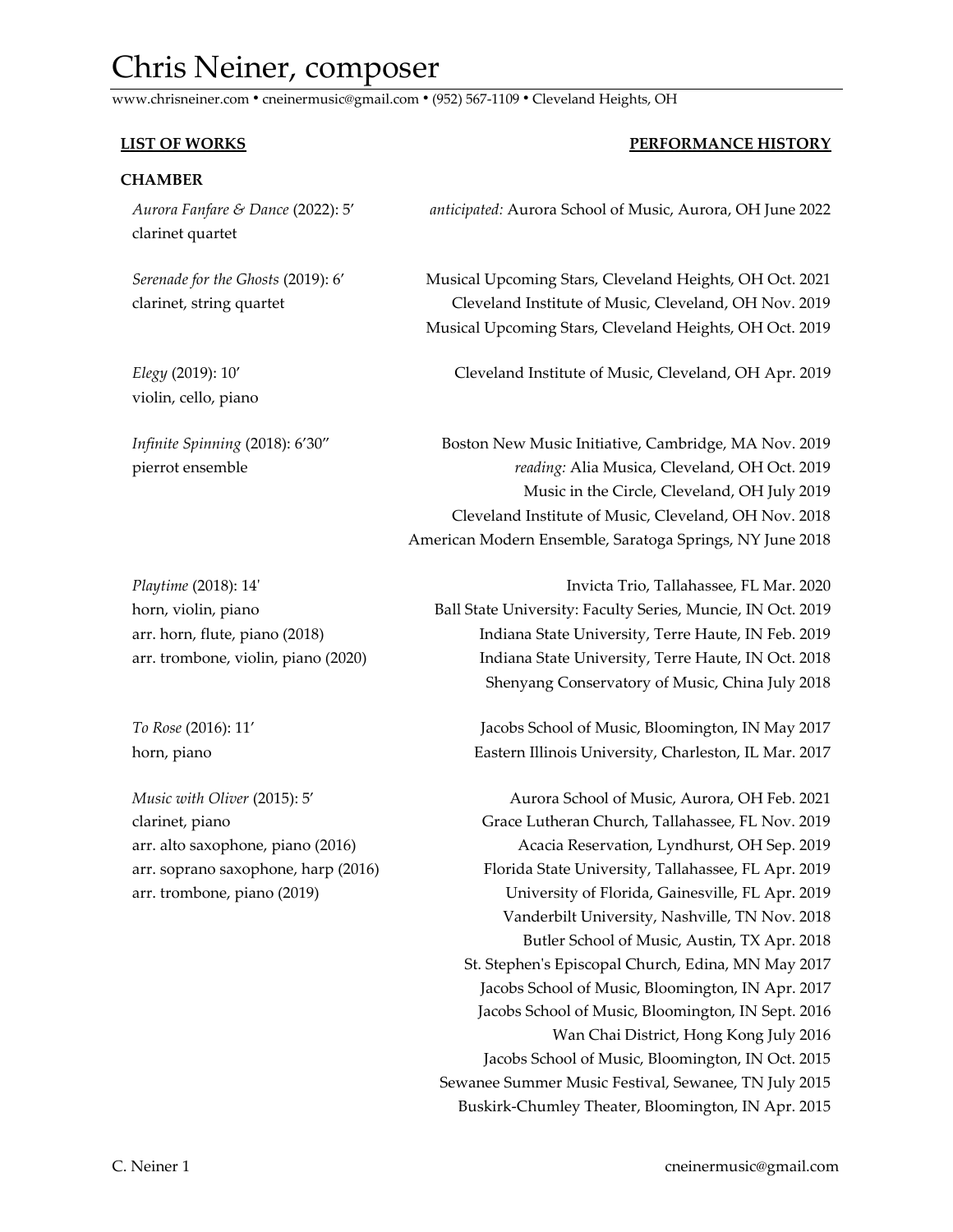# Chris Neiner, composer

www.chrisneiner.com ● cneinermusic@gmail.com ● (952) 567-1109 ● Cleveland Heights, OH

# **LIST OF WORKS PERFORMANCE HISTORY CHAMBER**  *Aurora Fanfare & Dance* (2022): 5' *anticipated:* Aurora School of Music, Aurora, OH June 2022 clarinet quartet  *Serenade for the Ghosts* (2019): 6' Musical Upcoming Stars, Cleveland Heights, OH Oct. 2021 clarinet, string quartet Cleveland Institute of Music, Cleveland, OH Nov. 2019 Musical Upcoming Stars, Cleveland Heights, OH Oct. 2019 *Elegy* (2019): 10' Cleveland Institute of Music, Cleveland, OH Apr. 2019 violin, cello, piano *Infinite Spinning* (2018): 6'30" Boston New Music Initiative, Cambridge, MA Nov. 2019 pierrot ensemble *reading:* Alia Musica, Cleveland, OH Oct. 2019 Music in the Circle, Cleveland, OH July 2019 Cleveland Institute of Music, Cleveland, OH Nov. 2018 American Modern Ensemble, Saratoga Springs, NY June 2018  *Playtime* (2018): 14' Invicta Trio, Tallahassee, FL Mar. 2020 horn, violin, piano Ball State University: Faculty Series, Muncie, IN Oct. 2019 arr. horn, flute, piano (2018) Indiana State University, Terre Haute, IN Feb. 2019 arr. trombone, violin, piano (2020) **Indiana State University, Terre Haute, IN Oct. 2018** Shenyang Conservatory of Music, China July 2018

 *To Rose* (2016): 11' Jacobs School of Music, Bloomington, IN May 2017 horn, piano Eastern Illinois University, Charleston, IL Mar. 2017

 *Music with Oliver* (2015): 5' Aurora School of Music, Aurora, OH Feb. 2021 clarinet, piano Grace Lutheran Church, Tallahassee, FL Nov. 2019 arr. alto saxophone, piano (2016) Acacia Reservation, Lyndhurst, OH Sep. 2019 arr. soprano saxophone, harp (2016) Florida State University, Tallahassee, FL Apr. 2019 arr. trombone, piano (2019) University of Florida, Gainesville, FL Apr. 2019 Vanderbilt University, Nashville, TN Nov. 2018 Butler School of Music, Austin, TX Apr. 2018 St. Stephen's Episcopal Church, Edina, MN May 2017 Jacobs School of Music, Bloomington, IN Apr. 2017 Jacobs School of Music, Bloomington, IN Sept. 2016 Wan Chai District, Hong Kong July 2016 Jacobs School of Music, Bloomington, IN Oct. 2015 Sewanee Summer Music Festival, Sewanee, TN July 2015 Buskirk-Chumley Theater, Bloomington, IN Apr. 2015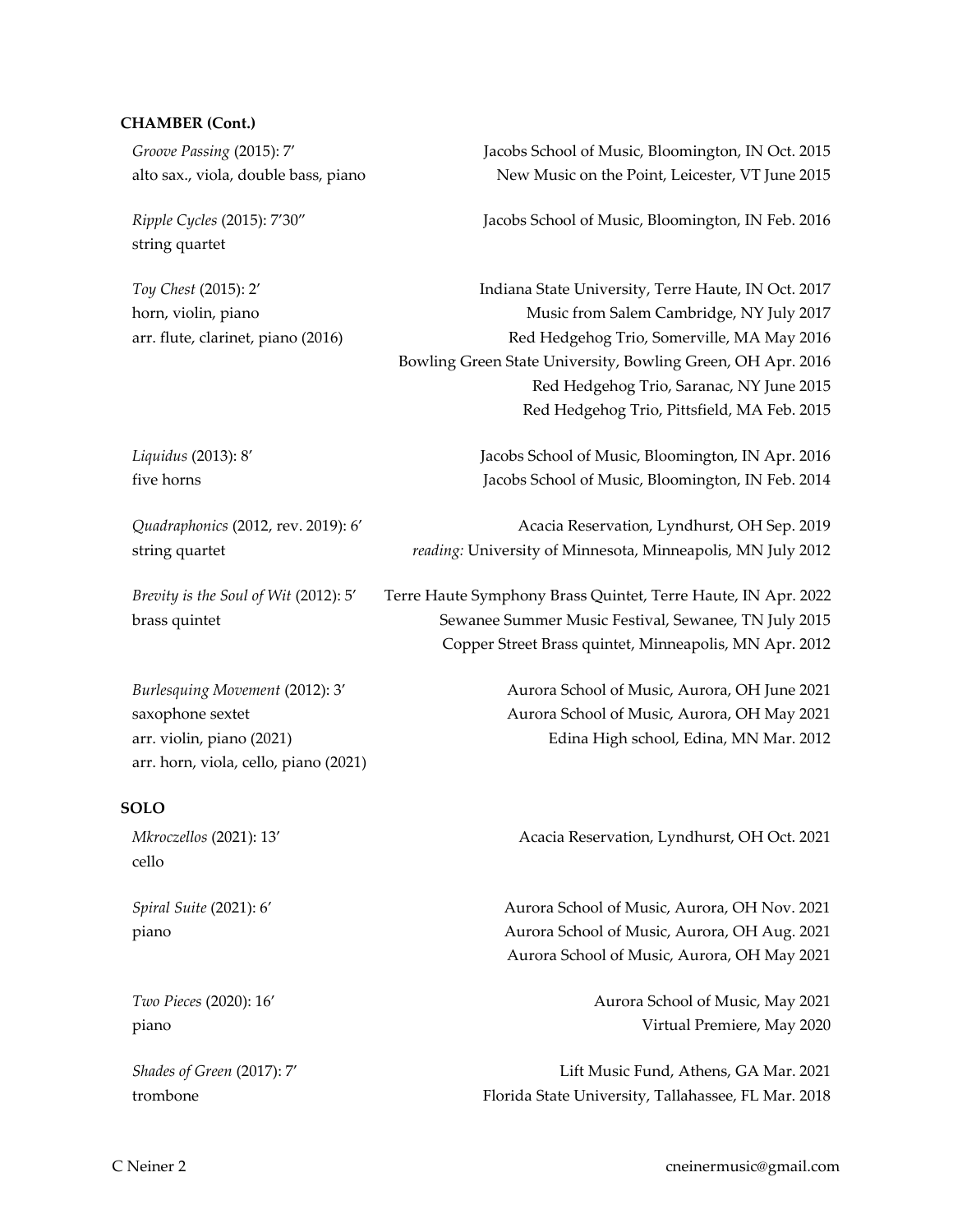#### **CHAMBER (Cont.)**

string quartet

 *Groove Passing* (2015): 7' Jacobs School of Music, Bloomington, IN Oct. 2015 alto sax., viola, double bass, piano New Music on the Point, Leicester, VT June 2015

*Ripple Cycles* (2015): 7'30" Jacobs School of Music, Bloomington, IN Feb. 2016

 *Toy Chest* (2015): 2' Indiana State University, Terre Haute, IN Oct. 2017 horn, violin, piano Music from Salem Cambridge, NY July 2017 arr. flute, clarinet, piano (2016) Red Hedgehog Trio, Somerville, MA May 2016 Bowling Green State University, Bowling Green, OH Apr. 2016 Red Hedgehog Trio, Saranac, NY June 2015 Red Hedgehog Trio, Pittsfield, MA Feb. 2015

 *Liquidus* (2013): 8' Jacobs School of Music, Bloomington, IN Apr. 2016 five horns Jacobs School of Music, Bloomington, IN Feb. 2014

 *Quadraphonics* (2012, rev. 2019): 6' Acacia Reservation, Lyndhurst, OH Sep. 2019 string quartet *reading:* University of Minnesota, Minneapolis, MN July 2012

 *Brevity is the Soul of Wit* (2012): 5' Terre Haute Symphony Brass Quintet, Terre Haute, IN Apr. 2022

 brass quintet Sewanee Summer Music Festival, Sewanee, TN July 2015 Copper Street Brass quintet, Minneapolis, MN Apr. 2012

 *Burlesquing Movement* (2012): 3' Aurora School of Music, Aurora, OH June 2021 saxophone sextet Aurora School of Music, Aurora, OH May 2021 arr. violin, piano (2021) Edina High school, Edina, MN Mar. 2012 arr. horn, viola, cello, piano (2021)

### **SOLO**

 *Mkroczellos* (2021): 13' Acacia Reservation, Lyndhurst, OH Oct. 2021 cello  *Spiral Suite* (2021): 6' Aurora School of Music, Aurora, OH Nov. 2021 piano Aurora School of Music, Aurora, OH Aug. 2021 Aurora School of Music, Aurora, OH May 2021  *Two Pieces* (2020): 16' Aurora School of Music, May 2021 piano Virtual Premiere, May 2020  *Shades of Green* (2017): 7' Lift Music Fund, Athens, GA Mar. 2021

trombone Florida State University, Tallahassee, FL Mar. 2018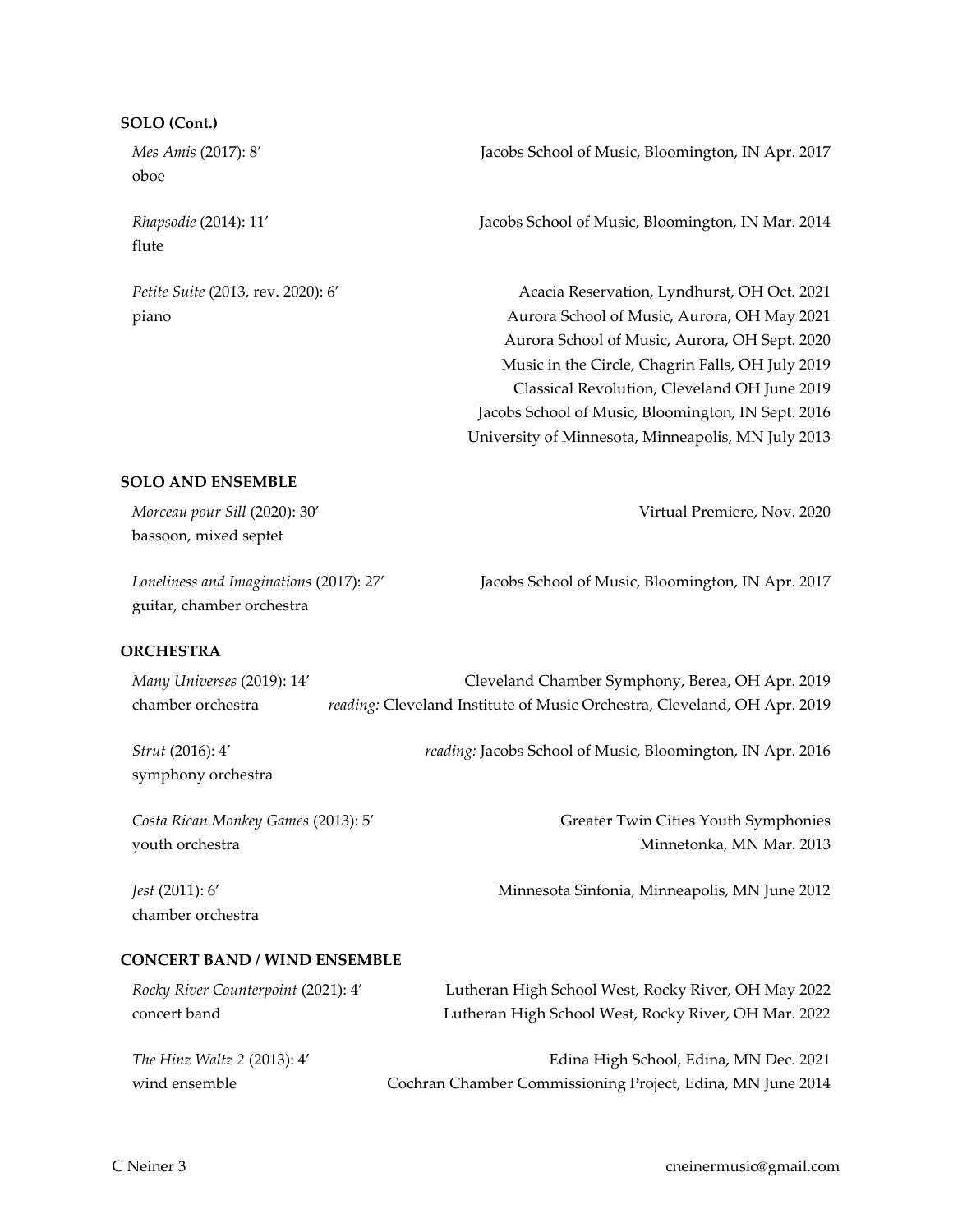#### **SOLO (Cont.)**

oboe

flute

 *Mes Amis* (2017): 8' Jacobs School of Music, Bloomington, IN Apr. 2017

 *Rhapsodie* (2014): 11' Jacobs School of Music, Bloomington, IN Mar. 2014

 *Petite Suite* (2013, rev. 2020): 6' Acacia Reservation, Lyndhurst, OH Oct. 2021 piano Aurora School of Music, Aurora, OH May 2021 Aurora School of Music, Aurora, OH Sept. 2020 Music in the Circle, Chagrin Falls, OH July 2019 Classical Revolution, Cleveland OH June 2019 Jacobs School of Music, Bloomington, IN Sept. 2016 University of Minnesota, Minneapolis, MN July 2013

# **SOLO AND ENSEMBLE**

 *Morceau pour Sill* (2020): 30' Virtual Premiere, Nov. 2020 bassoon, mixed septet

guitar, chamber orchestra

 *Loneliness and Imaginations* (2017): 27' Jacobs School of Music, Bloomington, IN Apr. 2017

# **ORCHESTRA**

| Many Universes (2019): 14'             | Cleveland Chamber Symphony, Berea, OH Apr. 2019                          |
|----------------------------------------|--------------------------------------------------------------------------|
| chamber orchestra                      | reading: Cleveland Institute of Music Orchestra, Cleveland, OH Apr. 2019 |
| Strut (2016): 4'<br>symphony orchestra | reading: Jacobs School of Music, Bloomington, IN Apr. 2016               |
| Costa Rican Monkey Games (2013): 5'    | Greater Twin Cities Youth Symphonies                                     |
| youth orchestra                        | Minnetonka, MN Mar. 2013                                                 |
| Jest (2011): 6'<br>chamber orchestra   | Minnesota Sinfonia, Minneapolis, MN June 2012                            |

# **CONCERT BAND / WIND ENSEMBLE**

| Rocky River Counterpoint (2021): 4' | Lutheran High School West, Rocky River, OH May 2022        |
|-------------------------------------|------------------------------------------------------------|
| concert band                        | Lutheran High School West, Rocky River, OH Mar. 2022       |
| <i>The Hinz Waltz 2 (2013): 4'</i>  | Edina High School, Edina, MN Dec. 2021                     |
| wind ensemble                       | Cochran Chamber Commissioning Project, Edina, MN June 2014 |